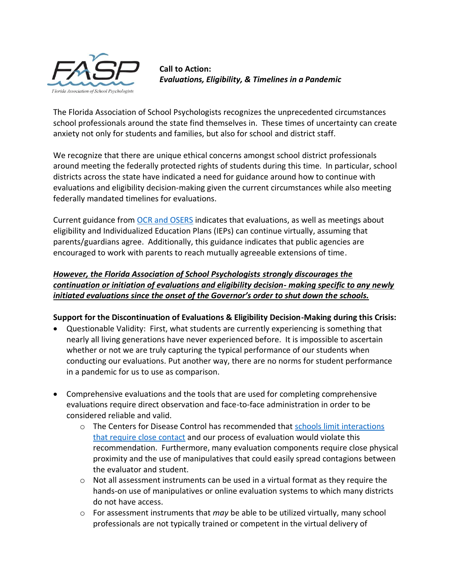

**Call to Action:**  *Evaluations, Eligibility, & Timelines in a Pandemic* 

The Florida Association of School Psychologists recognizes the unprecedented circumstances school professionals around the state find themselves in. These times of uncertainty can create anxiety not only for students and families, but also for school and district staff.

We recognize that there are unique ethical concerns amongst school district professionals around meeting the federally protected rights of students during this time. In particular, school districts across the state have indicated a need for guidance around how to continue with evaluations and eligibility decision-making given the current circumstances while also meeting federally mandated timelines for evaluations.

Current guidance from [OCR and OSERS](https://www2.ed.gov/about/offices/list/ocr/frontpage/faq/rr/policyguidance/Supple%20Fact%20Sheet%203.21.20%20FINAL.pdf?utm_content=&utm_medium=email&utm_name=&utm_source=govdelivery&utm_term=) indicates that evaluations, as well as meetings about eligibility and Individualized Education Plans (IEPs) can continue virtually, assuming that parents/guardians agree. Additionally, this guidance indicates that public agencies are encouraged to work with parents to reach mutually agreeable extensions of time.

# *However, the Florida Association of School Psychologists strongly discourages the continuation or initiation of evaluations and eligibility decision- making specific to any newly initiated evaluations since the onset of the Governor's order to shut down the schools.*

### **Support for the Discontinuation of Evaluations & Eligibility Decision-Making during this Crisis:**

- Questionable Validity: First, what students are currently experiencing is something that nearly all living generations have never experienced before. It is impossible to ascertain whether or not we are truly capturing the typical performance of our students when conducting our evaluations. Put another way, there are no norms for student performance in a pandemic for us to use as comparison.
- Comprehensive evaluations and the tools that are used for completing comprehensive evaluations require direct observation and face-to-face administration in order to be considered reliable and valid.
	- o The Centers for Disease Control has recommended that [schools limit interactions](https://www.cdc.gov/coronavirus/2019-ncov/community/schools-childcare/index.html)  [that require close contact](https://www.cdc.gov/coronavirus/2019-ncov/community/schools-childcare/index.html) and our process of evaluation would violate this recommendation. Furthermore, many evaluation components require close physical proximity and the use of manipulatives that could easily spread contagions between the evaluator and student.
	- $\circ$  Not all assessment instruments can be used in a virtual format as they require the hands-on use of manipulatives or online evaluation systems to which many districts do not have access.
	- o For assessment instruments that *may* be able to be utilized virtually, many school professionals are not typically trained or competent in the virtual delivery of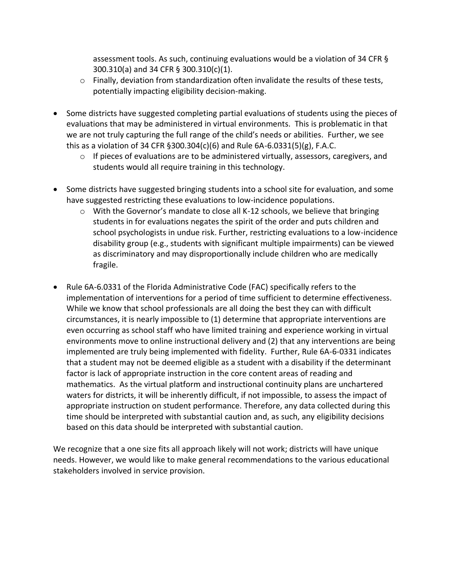assessment tools. As such, continuing evaluations would be a violation of 34 CFR § 300.310(a) and 34 CFR § 300.310(c)(1).

- $\circ$  Finally, deviation from standardization often invalidate the results of these tests, potentially impacting eligibility decision-making.
- Some districts have suggested completing partial evaluations of students using the pieces of evaluations that may be administered in virtual environments. This is problematic in that we are not truly capturing the full range of the child's needs or abilities. Further, we see this as a violation of 34 CFR §300.304(c)(6) and Rule 6A-6.0331(5)(g), F.A.C.
	- $\circ$  If pieces of evaluations are to be administered virtually, assessors, caregivers, and students would all require training in this technology.
- Some districts have suggested bringing students into a school site for evaluation, and some have suggested restricting these evaluations to low-incidence populations.
	- o With the Governor's mandate to close all K-12 schools, we believe that bringing students in for evaluations negates the spirit of the order and puts children and school psychologists in undue risk. Further, restricting evaluations to a low-incidence disability group (e.g., students with significant multiple impairments) can be viewed as discriminatory and may disproportionally include children who are medically fragile.
- Rule 6A-6.0331 of the Florida Administrative Code (FAC) specifically refers to the implementation of interventions for a period of time sufficient to determine effectiveness. While we know that school professionals are all doing the best they can with difficult circumstances, it is nearly impossible to (1) determine that appropriate interventions are even occurring as school staff who have limited training and experience working in virtual environments move to online instructional delivery and (2) that any interventions are being implemented are truly being implemented with fidelity. Further, Rule 6A-6-0331 indicates that a student may not be deemed eligible as a student with a disability if the determinant factor is lack of appropriate instruction in the core content areas of reading and mathematics. As the virtual platform and instructional continuity plans are unchartered waters for districts, it will be inherently difficult, if not impossible, to assess the impact of appropriate instruction on student performance. Therefore, any data collected during this time should be interpreted with substantial caution and, as such, any eligibility decisions based on this data should be interpreted with substantial caution.

We recognize that a one size fits all approach likely will not work; districts will have unique needs. However, we would like to make general recommendations to the various educational stakeholders involved in service provision.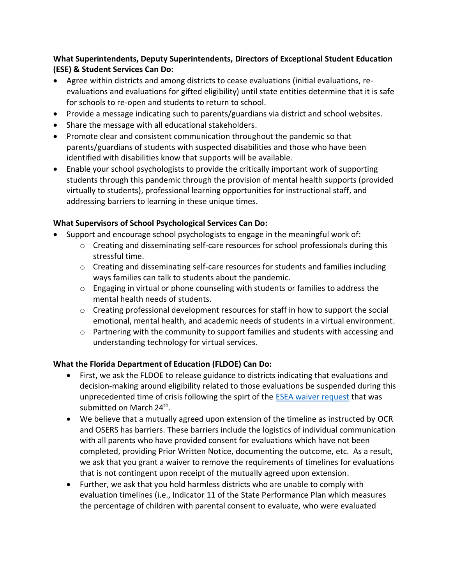# **What Superintendents, Deputy Superintendents, Directors of Exceptional Student Education (ESE) & Student Services Can Do:**

- Agree within districts and among districts to cease evaluations (initial evaluations, reevaluations and evaluations for gifted eligibility) until state entities determine that it is safe for schools to re-open and students to return to school.
- Provide a message indicating such to parents/guardians via district and school websites.
- Share the message with all educational stakeholders.
- Promote clear and consistent communication throughout the pandemic so that parents/guardians of students with suspected disabilities and those who have been identified with disabilities know that supports will be available.
- Enable your school psychologists to provide the critically important work of supporting students through this pandemic through the provision of mental health supports (provided virtually to students), professional learning opportunities for instructional staff, and addressing barriers to learning in these unique times.

# **What Supervisors of School Psychological Services Can Do:**

- Support and encourage school psychologists to engage in the meaningful work of:
	- $\circ$  Creating and disseminating self-care resources for school professionals during this stressful time.
	- $\circ$  Creating and disseminating self-care resources for students and families including ways families can talk to students about the pandemic.
	- $\circ$  Engaging in virtual or phone counseling with students or families to address the mental health needs of students.
	- o Creating professional development resources for staff in how to support the social emotional, mental health, and academic needs of students in a virtual environment.
	- $\circ$  Partnering with the community to support families and students with accessing and understanding technology for virtual services.

### **What the Florida Department of Education (FLDOE) Can Do:**

- First, we ask the FLDOE to release guidance to districts indicating that evaluations and decision-making around eligibility related to those evaluations be suspended during this unprecedented time of crisis following the spirt of the [ESEA waiver request](http://www.fldoe.org/core/fileparse.php/14196/urlt/FloridaWaiverRequestUSED.pdf) that was submitted on March 24<sup>th</sup>.
- We believe that a mutually agreed upon extension of the timeline as instructed by OCR and OSERS has barriers. These barriers include the logistics of individual communication with all parents who have provided consent for evaluations which have not been completed, providing Prior Written Notice, documenting the outcome, etc. As a result, we ask that you grant a waiver to remove the requirements of timelines for evaluations that is not contingent upon receipt of the mutually agreed upon extension.
- Further, we ask that you hold harmless districts who are unable to comply with evaluation timelines (i.e., Indicator 11 of the State Performance Plan which measures the percentage of children with parental consent to evaluate, who were evaluated